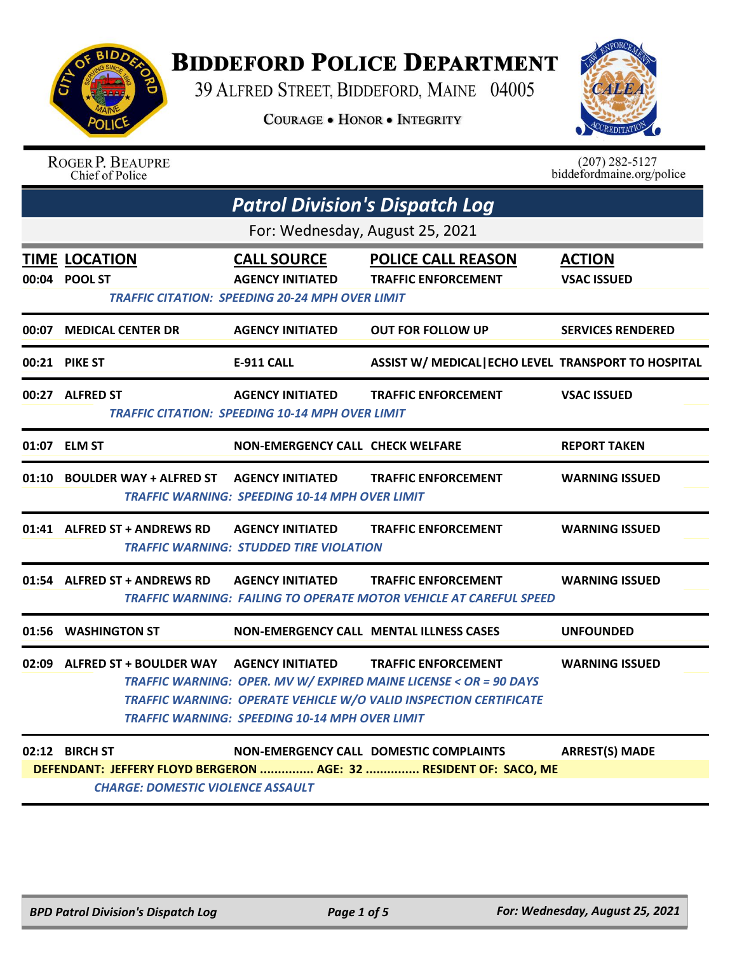

**ROGER P. BEAUPRE** 

Chief of Police

## **BIDDEFORD POLICE DEPARTMENT**

39 ALFRED STREET, BIDDEFORD, MAINE 04005

**COURAGE . HONOR . INTEGRITY** 



 $(207)$  282-5127

biddefordmaine.org/police

| <b>Patrol Division's Dispatch Log</b>            |                                                                                                         |                                                                                                                                                                      |                                     |  |  |
|--------------------------------------------------|---------------------------------------------------------------------------------------------------------|----------------------------------------------------------------------------------------------------------------------------------------------------------------------|-------------------------------------|--|--|
| For: Wednesday, August 25, 2021                  |                                                                                                         |                                                                                                                                                                      |                                     |  |  |
| <b>TIME LOCATION</b><br>00:04 POOL ST            | <b>CALL SOURCE</b><br><b>AGENCY INITIATED</b><br><b>TRAFFIC CITATION: SPEEDING 20-24 MPH OVER LIMIT</b> | <b>POLICE CALL REASON</b><br><b>TRAFFIC ENFORCEMENT</b>                                                                                                              | <b>ACTION</b><br><b>VSAC ISSUED</b> |  |  |
| 00:07 MEDICAL CENTER DR                          | <b>AGENCY INITIATED</b>                                                                                 | <b>OUT FOR FOLLOW UP</b>                                                                                                                                             | <b>SERVICES RENDERED</b>            |  |  |
| 00:21 PIKE ST                                    | <b>E-911 CALL</b>                                                                                       | ASSIST W/ MEDICAL ECHO LEVEL TRANSPORT TO HOSPITAL                                                                                                                   |                                     |  |  |
| 00:27 ALFRED ST                                  | <b>AGENCY INITIATED</b><br><b>TRAFFIC CITATION: SPEEDING 10-14 MPH OVER LIMIT</b>                       | <b>TRAFFIC ENFORCEMENT</b>                                                                                                                                           | <b>VSAC ISSUED</b>                  |  |  |
| 01:07 ELM ST                                     | <b>NON-EMERGENCY CALL CHECK WELFARE</b>                                                                 |                                                                                                                                                                      | <b>REPORT TAKEN</b>                 |  |  |
|                                                  | <b>TRAFFIC WARNING: SPEEDING 10-14 MPH OVER LIMIT</b>                                                   | <b>TRAFFIC ENFORCEMENT</b>                                                                                                                                           | <b>WARNING ISSUED</b>               |  |  |
| 01:41 ALFRED ST + ANDREWS RD                     | <b>AGENCY INITIATED</b><br><b>TRAFFIC WARNING: STUDDED TIRE VIOLATION</b>                               | <b>TRAFFIC ENFORCEMENT</b>                                                                                                                                           | <b>WARNING ISSUED</b>               |  |  |
| 01:54 ALFRED ST + ANDREWS RD    AGENCY INITIATED |                                                                                                         | <b>TRAFFIC ENFORCEMENT</b><br>TRAFFIC WARNING: FAILING TO OPERATE MOTOR VEHICLE AT CAREFUL SPEED                                                                     | <b>WARNING ISSUED</b>               |  |  |
| 01:56 WASHINGTON ST                              | <b>NON-EMERGENCY CALL MENTAL ILLNESS CASES</b>                                                          |                                                                                                                                                                      | <b>UNFOUNDED</b>                    |  |  |
| 02:09 ALFRED ST + BOULDER WAY AGENCY INITIATED   | <b>TRAFFIC WARNING: SPEEDING 10-14 MPH OVER LIMIT</b>                                                   | <b>TRAFFIC ENFORCEMENT</b><br>TRAFFIC WARNING: OPER. MV W/ EXPIRED MAINE LICENSE < OR = 90 DAYS<br>TRAFFIC WARNING: OPERATE VEHICLE W/O VALID INSPECTION CERTIFICATE | <b>WARNING ISSUED</b>               |  |  |
|                                                  |                                                                                                         |                                                                                                                                                                      |                                     |  |  |

**02:12 BIRCH ST NON-EMERGENCY CALL DOMESTIC COMPLAINTS ARREST(S) MADE DEFENDANT: JEFFERY FLOYD BERGERON ............... AGE: 32 ............... RESIDENT OF: SACO, ME** *CHARGE: DOMESTIC VIOLENCE ASSAULT*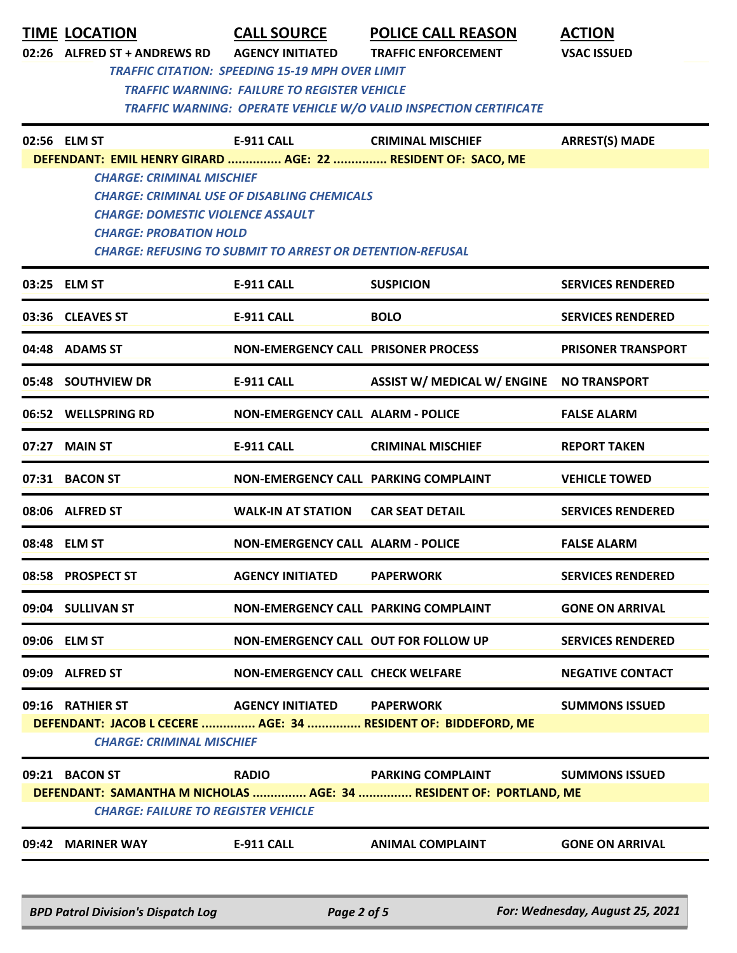|       | <b>TIME LOCATION</b><br>02:26 ALFRED ST + ANDREWS RD                                                                                                                                                                                                                                                    | <b>CALL SOURCE</b><br><b>AGENCY INITIATED</b><br><b>TRAFFIC CITATION: SPEEDING 15-19 MPH OVER LIMIT</b> | <b>POLICE CALL REASON</b><br><b>TRAFFIC ENFORCEMENT</b>                                        | <b>ACTION</b><br><b>VSAC ISSUED</b> |  |  |
|-------|---------------------------------------------------------------------------------------------------------------------------------------------------------------------------------------------------------------------------------------------------------------------------------------------------------|---------------------------------------------------------------------------------------------------------|------------------------------------------------------------------------------------------------|-------------------------------------|--|--|
|       |                                                                                                                                                                                                                                                                                                         | <b>TRAFFIC WARNING: FAILURE TO REGISTER VEHICLE</b>                                                     | TRAFFIC WARNING: OPERATE VEHICLE W/O VALID INSPECTION CERTIFICATE                              |                                     |  |  |
|       | 02:56 ELM ST                                                                                                                                                                                                                                                                                            | <b>E-911 CALL</b>                                                                                       | <b>CRIMINAL MISCHIEF</b>                                                                       | <b>ARREST(S) MADE</b>               |  |  |
|       | DEFENDANT: EMIL HENRY GIRARD  AGE: 22  RESIDENT OF: SACO, ME<br><b>CHARGE: CRIMINAL MISCHIEF</b><br><b>CHARGE: CRIMINAL USE OF DISABLING CHEMICALS</b><br><b>CHARGE: DOMESTIC VIOLENCE ASSAULT</b><br><b>CHARGE: PROBATION HOLD</b><br><b>CHARGE: REFUSING TO SUBMIT TO ARREST OR DETENTION-REFUSAL</b> |                                                                                                         |                                                                                                |                                     |  |  |
|       | 03:25 ELM ST                                                                                                                                                                                                                                                                                            | <b>E-911 CALL</b>                                                                                       | <b>SUSPICION</b>                                                                               | <b>SERVICES RENDERED</b>            |  |  |
|       | 03:36 CLEAVES ST                                                                                                                                                                                                                                                                                        | <b>E-911 CALL</b>                                                                                       | <b>BOLO</b>                                                                                    | <b>SERVICES RENDERED</b>            |  |  |
|       | 04:48 ADAMS ST                                                                                                                                                                                                                                                                                          | <b>NON-EMERGENCY CALL PRISONER PROCESS</b>                                                              |                                                                                                | <b>PRISONER TRANSPORT</b>           |  |  |
|       | 05:48 SOUTHVIEW DR                                                                                                                                                                                                                                                                                      | <b>E-911 CALL</b>                                                                                       | <b>ASSIST W/ MEDICAL W/ ENGINE</b>                                                             | <b>NO TRANSPORT</b>                 |  |  |
|       | 06:52 WELLSPRING RD                                                                                                                                                                                                                                                                                     | <b>NON-EMERGENCY CALL ALARM - POLICE</b>                                                                |                                                                                                | <b>FALSE ALARM</b>                  |  |  |
| 07:27 | <b>MAIN ST</b>                                                                                                                                                                                                                                                                                          | <b>E-911 CALL</b>                                                                                       | <b>CRIMINAL MISCHIEF</b>                                                                       | <b>REPORT TAKEN</b>                 |  |  |
|       | 07:31 BACON ST                                                                                                                                                                                                                                                                                          | NON-EMERGENCY CALL PARKING COMPLAINT                                                                    |                                                                                                | <b>VEHICLE TOWED</b>                |  |  |
|       | 08:06 ALFRED ST                                                                                                                                                                                                                                                                                         | <b>WALK-IN AT STATION</b>                                                                               | <b>CAR SEAT DETAIL</b>                                                                         | <b>SERVICES RENDERED</b>            |  |  |
|       | 08:48 ELM ST                                                                                                                                                                                                                                                                                            | <b>NON-EMERGENCY CALL ALARM - POLICE</b>                                                                |                                                                                                | <b>FALSE ALARM</b>                  |  |  |
|       | 08:58 PROSPECT ST                                                                                                                                                                                                                                                                                       | <b>AGENCY INITIATED</b>                                                                                 | <b>PAPERWORK</b>                                                                               | <b>SERVICES RENDERED</b>            |  |  |
|       | 09:04 SULLIVAN ST                                                                                                                                                                                                                                                                                       | NON-EMERGENCY CALL PARKING COMPLAINT                                                                    |                                                                                                | <b>GONE ON ARRIVAL</b>              |  |  |
|       | 09:06 ELM ST                                                                                                                                                                                                                                                                                            | NON-EMERGENCY CALL OUT FOR FOLLOW UP                                                                    |                                                                                                | <b>SERVICES RENDERED</b>            |  |  |
|       | 09:09 ALFRED ST                                                                                                                                                                                                                                                                                         | <b>NON-EMERGENCY CALL CHECK WELFARE</b>                                                                 |                                                                                                | <b>NEGATIVE CONTACT</b>             |  |  |
|       | 09:16 RATHIER ST<br><b>CHARGE: CRIMINAL MISCHIEF</b>                                                                                                                                                                                                                                                    | AGENCY INITIATED PAPERWORK                                                                              | DEFENDANT: JACOB L CECERE  AGE: 34  RESIDENT OF: BIDDEFORD, ME                                 | <b>SUMMONS ISSUED</b>               |  |  |
|       | 09:21 BACON ST<br><b>CHARGE: FAILURE TO REGISTER VEHICLE</b>                                                                                                                                                                                                                                            | <b>RADIO</b>                                                                                            | <b>PARKING COMPLAINT</b><br>DEFENDANT: SAMANTHA M NICHOLAS  AGE: 34  RESIDENT OF: PORTLAND, ME | <b>SUMMONS ISSUED</b>               |  |  |
|       | 09:42 MARINER WAY                                                                                                                                                                                                                                                                                       | <b>E-911 CALL</b>                                                                                       | <b>ANIMAL COMPLAINT</b>                                                                        | <b>GONE ON ARRIVAL</b>              |  |  |
|       | <b>BPD Patrol Division's Dispatch Log</b>                                                                                                                                                                                                                                                               | Page 2 of 5                                                                                             |                                                                                                | For: Wednesday, August 25, 2021     |  |  |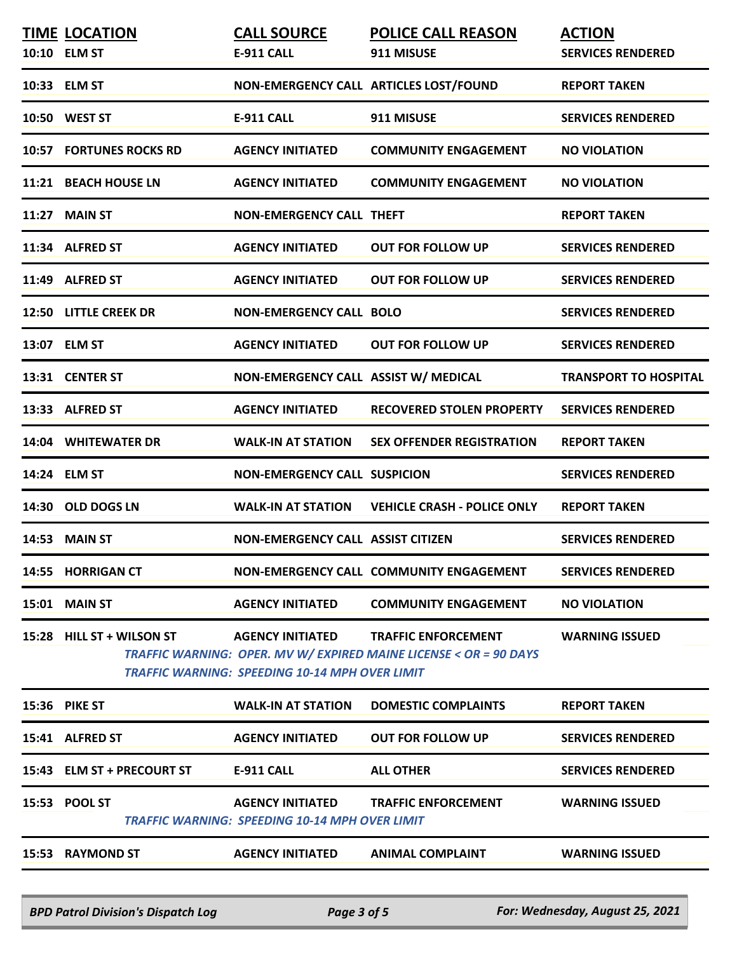| 10:33 ELM ST<br>NON-EMERGENCY CALL ARTICLES LOST/FOUND<br><b>REPORT TAKEN</b><br>10:50 WEST ST<br>911 MISUSE<br><b>E-911 CALL</b><br><b>SERVICES RENDERED</b><br><b>10:57 FORTUNES ROCKS RD</b><br><b>AGENCY INITIATED</b><br><b>COMMUNITY ENGAGEMENT</b><br><b>NO VIOLATION</b><br>11:21 BEACH HOUSE LN<br><b>AGENCY INITIATED</b><br><b>COMMUNITY ENGAGEMENT</b><br><b>NO VIOLATION</b><br><b>NON-EMERGENCY CALL THEFT</b><br><b>11:27 MAIN ST</b><br><b>REPORT TAKEN</b><br>11:34 ALFRED ST<br><b>AGENCY INITIATED</b><br><b>OUT FOR FOLLOW UP</b><br><b>SERVICES RENDERED</b><br>11:49 ALFRED ST<br><b>AGENCY INITIATED</b><br><b>OUT FOR FOLLOW UP</b><br><b>SERVICES RENDERED</b><br>12:50 LITTLE CREEK DR<br><b>NON-EMERGENCY CALL BOLO</b><br><b>SERVICES RENDERED</b><br>13:07 ELM ST<br><b>AGENCY INITIATED</b><br><b>OUT FOR FOLLOW UP</b><br><b>SERVICES RENDERED</b><br>NON-EMERGENCY CALL ASSIST W/ MEDICAL<br>13:31 CENTER ST<br><b>TRANSPORT TO HOSPITAL</b><br>13:33 ALFRED ST<br><b>AGENCY INITIATED</b><br><b>SERVICES RENDERED</b><br><b>RECOVERED STOLEN PROPERTY</b><br>14:04 WHITEWATER DR<br><b>WALK-IN AT STATION</b><br><b>SEX OFFENDER REGISTRATION</b><br><b>REPORT TAKEN</b><br><b>SERVICES RENDERED</b><br>14:24 ELM ST<br><b>NON-EMERGENCY CALL SUSPICION</b><br><b>VEHICLE CRASH - POLICE ONLY</b><br>14:30 OLD DOGS LN<br><b>WALK-IN AT STATION</b><br><b>REPORT TAKEN</b><br><b>14:53 MAIN ST</b><br><b>NON-EMERGENCY CALL ASSIST CITIZEN</b><br><b>SERVICES RENDERED</b><br>NON-EMERGENCY CALL COMMUNITY ENGAGEMENT<br><b>SERVICES RENDERED</b><br>14:55 HORRIGAN CT<br><b>MAIN ST</b><br><b>AGENCY INITIATED</b><br><b>COMMUNITY ENGAGEMENT</b><br><b>NO VIOLATION</b><br>15:01<br>15:28 HILL ST + WILSON ST<br><b>AGENCY INITIATED</b><br><b>TRAFFIC ENFORCEMENT</b><br><b>WARNING ISSUED</b><br>TRAFFIC WARNING: OPER. MV W/ EXPIRED MAINE LICENSE < OR = 90 DAYS<br><b>TRAFFIC WARNING: SPEEDING 10-14 MPH OVER LIMIT</b><br>15:36 PIKE ST<br><b>WALK-IN AT STATION</b><br><b>DOMESTIC COMPLAINTS</b><br><b>REPORT TAKEN</b><br>15:41 ALFRED ST<br><b>AGENCY INITIATED</b><br><b>OUT FOR FOLLOW UP</b><br><b>SERVICES RENDERED</b><br><b>SERVICES RENDERED</b><br>15:43 ELM ST + PRECOURT ST<br><b>E-911 CALL</b><br><b>ALL OTHER</b><br>15:53 POOL ST<br><b>AGENCY INITIATED</b><br><b>TRAFFIC ENFORCEMENT</b><br><b>WARNING ISSUED</b><br>TRAFFIC WARNING: SPEEDING 10-14 MPH OVER LIMIT<br>15:53 RAYMOND ST<br><b>AGENCY INITIATED</b><br><b>ANIMAL COMPLAINT</b><br><b>WARNING ISSUED</b> | <b>TIME LOCATION</b><br>10:10 ELM ST | <b>CALL SOURCE</b><br><b>E-911 CALL</b> | <b>POLICE CALL REASON</b><br>911 MISUSE | <b>ACTION</b><br><b>SERVICES RENDERED</b> |
|--------------------------------------------------------------------------------------------------------------------------------------------------------------------------------------------------------------------------------------------------------------------------------------------------------------------------------------------------------------------------------------------------------------------------------------------------------------------------------------------------------------------------------------------------------------------------------------------------------------------------------------------------------------------------------------------------------------------------------------------------------------------------------------------------------------------------------------------------------------------------------------------------------------------------------------------------------------------------------------------------------------------------------------------------------------------------------------------------------------------------------------------------------------------------------------------------------------------------------------------------------------------------------------------------------------------------------------------------------------------------------------------------------------------------------------------------------------------------------------------------------------------------------------------------------------------------------------------------------------------------------------------------------------------------------------------------------------------------------------------------------------------------------------------------------------------------------------------------------------------------------------------------------------------------------------------------------------------------------------------------------------------------------------------------------------------------------------------------------------------------------------------------------------------------------------------------------------------------------------------------------------------------------------------------------------------------------------------------------------------------------------------------------------------------------------------------------------------------------------------------------------------------------------|--------------------------------------|-----------------------------------------|-----------------------------------------|-------------------------------------------|
|                                                                                                                                                                                                                                                                                                                                                                                                                                                                                                                                                                                                                                                                                                                                                                                                                                                                                                                                                                                                                                                                                                                                                                                                                                                                                                                                                                                                                                                                                                                                                                                                                                                                                                                                                                                                                                                                                                                                                                                                                                                                                                                                                                                                                                                                                                                                                                                                                                                                                                                                      |                                      |                                         |                                         |                                           |
|                                                                                                                                                                                                                                                                                                                                                                                                                                                                                                                                                                                                                                                                                                                                                                                                                                                                                                                                                                                                                                                                                                                                                                                                                                                                                                                                                                                                                                                                                                                                                                                                                                                                                                                                                                                                                                                                                                                                                                                                                                                                                                                                                                                                                                                                                                                                                                                                                                                                                                                                      |                                      |                                         |                                         |                                           |
|                                                                                                                                                                                                                                                                                                                                                                                                                                                                                                                                                                                                                                                                                                                                                                                                                                                                                                                                                                                                                                                                                                                                                                                                                                                                                                                                                                                                                                                                                                                                                                                                                                                                                                                                                                                                                                                                                                                                                                                                                                                                                                                                                                                                                                                                                                                                                                                                                                                                                                                                      |                                      |                                         |                                         |                                           |
|                                                                                                                                                                                                                                                                                                                                                                                                                                                                                                                                                                                                                                                                                                                                                                                                                                                                                                                                                                                                                                                                                                                                                                                                                                                                                                                                                                                                                                                                                                                                                                                                                                                                                                                                                                                                                                                                                                                                                                                                                                                                                                                                                                                                                                                                                                                                                                                                                                                                                                                                      |                                      |                                         |                                         |                                           |
|                                                                                                                                                                                                                                                                                                                                                                                                                                                                                                                                                                                                                                                                                                                                                                                                                                                                                                                                                                                                                                                                                                                                                                                                                                                                                                                                                                                                                                                                                                                                                                                                                                                                                                                                                                                                                                                                                                                                                                                                                                                                                                                                                                                                                                                                                                                                                                                                                                                                                                                                      |                                      |                                         |                                         |                                           |
|                                                                                                                                                                                                                                                                                                                                                                                                                                                                                                                                                                                                                                                                                                                                                                                                                                                                                                                                                                                                                                                                                                                                                                                                                                                                                                                                                                                                                                                                                                                                                                                                                                                                                                                                                                                                                                                                                                                                                                                                                                                                                                                                                                                                                                                                                                                                                                                                                                                                                                                                      |                                      |                                         |                                         |                                           |
|                                                                                                                                                                                                                                                                                                                                                                                                                                                                                                                                                                                                                                                                                                                                                                                                                                                                                                                                                                                                                                                                                                                                                                                                                                                                                                                                                                                                                                                                                                                                                                                                                                                                                                                                                                                                                                                                                                                                                                                                                                                                                                                                                                                                                                                                                                                                                                                                                                                                                                                                      |                                      |                                         |                                         |                                           |
|                                                                                                                                                                                                                                                                                                                                                                                                                                                                                                                                                                                                                                                                                                                                                                                                                                                                                                                                                                                                                                                                                                                                                                                                                                                                                                                                                                                                                                                                                                                                                                                                                                                                                                                                                                                                                                                                                                                                                                                                                                                                                                                                                                                                                                                                                                                                                                                                                                                                                                                                      |                                      |                                         |                                         |                                           |
|                                                                                                                                                                                                                                                                                                                                                                                                                                                                                                                                                                                                                                                                                                                                                                                                                                                                                                                                                                                                                                                                                                                                                                                                                                                                                                                                                                                                                                                                                                                                                                                                                                                                                                                                                                                                                                                                                                                                                                                                                                                                                                                                                                                                                                                                                                                                                                                                                                                                                                                                      |                                      |                                         |                                         |                                           |
|                                                                                                                                                                                                                                                                                                                                                                                                                                                                                                                                                                                                                                                                                                                                                                                                                                                                                                                                                                                                                                                                                                                                                                                                                                                                                                                                                                                                                                                                                                                                                                                                                                                                                                                                                                                                                                                                                                                                                                                                                                                                                                                                                                                                                                                                                                                                                                                                                                                                                                                                      |                                      |                                         |                                         |                                           |
|                                                                                                                                                                                                                                                                                                                                                                                                                                                                                                                                                                                                                                                                                                                                                                                                                                                                                                                                                                                                                                                                                                                                                                                                                                                                                                                                                                                                                                                                                                                                                                                                                                                                                                                                                                                                                                                                                                                                                                                                                                                                                                                                                                                                                                                                                                                                                                                                                                                                                                                                      |                                      |                                         |                                         |                                           |
|                                                                                                                                                                                                                                                                                                                                                                                                                                                                                                                                                                                                                                                                                                                                                                                                                                                                                                                                                                                                                                                                                                                                                                                                                                                                                                                                                                                                                                                                                                                                                                                                                                                                                                                                                                                                                                                                                                                                                                                                                                                                                                                                                                                                                                                                                                                                                                                                                                                                                                                                      |                                      |                                         |                                         |                                           |
|                                                                                                                                                                                                                                                                                                                                                                                                                                                                                                                                                                                                                                                                                                                                                                                                                                                                                                                                                                                                                                                                                                                                                                                                                                                                                                                                                                                                                                                                                                                                                                                                                                                                                                                                                                                                                                                                                                                                                                                                                                                                                                                                                                                                                                                                                                                                                                                                                                                                                                                                      |                                      |                                         |                                         |                                           |
|                                                                                                                                                                                                                                                                                                                                                                                                                                                                                                                                                                                                                                                                                                                                                                                                                                                                                                                                                                                                                                                                                                                                                                                                                                                                                                                                                                                                                                                                                                                                                                                                                                                                                                                                                                                                                                                                                                                                                                                                                                                                                                                                                                                                                                                                                                                                                                                                                                                                                                                                      |                                      |                                         |                                         |                                           |
|                                                                                                                                                                                                                                                                                                                                                                                                                                                                                                                                                                                                                                                                                                                                                                                                                                                                                                                                                                                                                                                                                                                                                                                                                                                                                                                                                                                                                                                                                                                                                                                                                                                                                                                                                                                                                                                                                                                                                                                                                                                                                                                                                                                                                                                                                                                                                                                                                                                                                                                                      |                                      |                                         |                                         |                                           |
|                                                                                                                                                                                                                                                                                                                                                                                                                                                                                                                                                                                                                                                                                                                                                                                                                                                                                                                                                                                                                                                                                                                                                                                                                                                                                                                                                                                                                                                                                                                                                                                                                                                                                                                                                                                                                                                                                                                                                                                                                                                                                                                                                                                                                                                                                                                                                                                                                                                                                                                                      |                                      |                                         |                                         |                                           |
|                                                                                                                                                                                                                                                                                                                                                                                                                                                                                                                                                                                                                                                                                                                                                                                                                                                                                                                                                                                                                                                                                                                                                                                                                                                                                                                                                                                                                                                                                                                                                                                                                                                                                                                                                                                                                                                                                                                                                                                                                                                                                                                                                                                                                                                                                                                                                                                                                                                                                                                                      |                                      |                                         |                                         |                                           |
|                                                                                                                                                                                                                                                                                                                                                                                                                                                                                                                                                                                                                                                                                                                                                                                                                                                                                                                                                                                                                                                                                                                                                                                                                                                                                                                                                                                                                                                                                                                                                                                                                                                                                                                                                                                                                                                                                                                                                                                                                                                                                                                                                                                                                                                                                                                                                                                                                                                                                                                                      |                                      |                                         |                                         |                                           |
|                                                                                                                                                                                                                                                                                                                                                                                                                                                                                                                                                                                                                                                                                                                                                                                                                                                                                                                                                                                                                                                                                                                                                                                                                                                                                                                                                                                                                                                                                                                                                                                                                                                                                                                                                                                                                                                                                                                                                                                                                                                                                                                                                                                                                                                                                                                                                                                                                                                                                                                                      |                                      |                                         |                                         |                                           |
|                                                                                                                                                                                                                                                                                                                                                                                                                                                                                                                                                                                                                                                                                                                                                                                                                                                                                                                                                                                                                                                                                                                                                                                                                                                                                                                                                                                                                                                                                                                                                                                                                                                                                                                                                                                                                                                                                                                                                                                                                                                                                                                                                                                                                                                                                                                                                                                                                                                                                                                                      |                                      |                                         |                                         |                                           |
|                                                                                                                                                                                                                                                                                                                                                                                                                                                                                                                                                                                                                                                                                                                                                                                                                                                                                                                                                                                                                                                                                                                                                                                                                                                                                                                                                                                                                                                                                                                                                                                                                                                                                                                                                                                                                                                                                                                                                                                                                                                                                                                                                                                                                                                                                                                                                                                                                                                                                                                                      |                                      |                                         |                                         |                                           |
|                                                                                                                                                                                                                                                                                                                                                                                                                                                                                                                                                                                                                                                                                                                                                                                                                                                                                                                                                                                                                                                                                                                                                                                                                                                                                                                                                                                                                                                                                                                                                                                                                                                                                                                                                                                                                                                                                                                                                                                                                                                                                                                                                                                                                                                                                                                                                                                                                                                                                                                                      |                                      |                                         |                                         |                                           |
|                                                                                                                                                                                                                                                                                                                                                                                                                                                                                                                                                                                                                                                                                                                                                                                                                                                                                                                                                                                                                                                                                                                                                                                                                                                                                                                                                                                                                                                                                                                                                                                                                                                                                                                                                                                                                                                                                                                                                                                                                                                                                                                                                                                                                                                                                                                                                                                                                                                                                                                                      |                                      |                                         |                                         |                                           |

*BPD Patrol Division's Dispatch Log Page 3 of 5 For: Wednesday, August 25, 2021*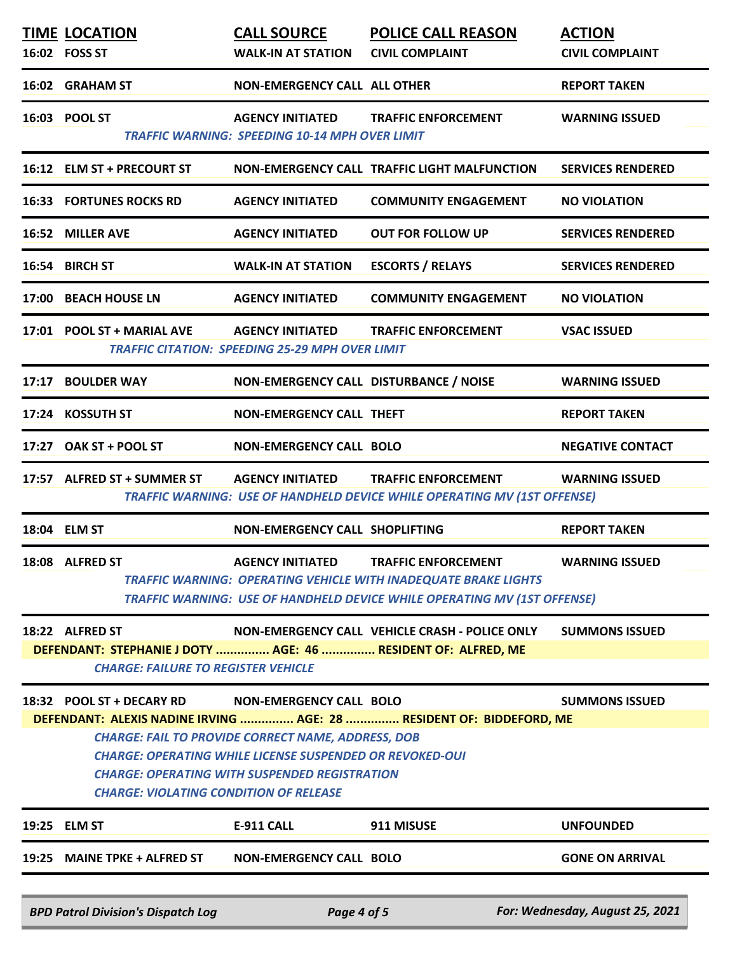|                                                                                                                                                                                                                                                                                                                                                                                                       | <b>TIME LOCATION</b><br>16:02 FOSS ST                                                                                          | <b>CALL SOURCE</b><br><b>WALK-IN AT STATION</b>                                   | <b>POLICE CALL REASON</b><br><b>CIVIL COMPLAINT</b>                                                                                                                       | <b>ACTION</b><br><b>CIVIL COMPLAINT</b> |  |
|-------------------------------------------------------------------------------------------------------------------------------------------------------------------------------------------------------------------------------------------------------------------------------------------------------------------------------------------------------------------------------------------------------|--------------------------------------------------------------------------------------------------------------------------------|-----------------------------------------------------------------------------------|---------------------------------------------------------------------------------------------------------------------------------------------------------------------------|-----------------------------------------|--|
|                                                                                                                                                                                                                                                                                                                                                                                                       | 16:02 GRAHAM ST                                                                                                                | <b>NON-EMERGENCY CALL ALL OTHER</b>                                               |                                                                                                                                                                           | <b>REPORT TAKEN</b>                     |  |
|                                                                                                                                                                                                                                                                                                                                                                                                       | 16:03 POOL ST                                                                                                                  | <b>AGENCY INITIATED</b><br><b>TRAFFIC WARNING: SPEEDING 10-14 MPH OVER LIMIT</b>  | <b>TRAFFIC ENFORCEMENT</b>                                                                                                                                                | <b>WARNING ISSUED</b>                   |  |
|                                                                                                                                                                                                                                                                                                                                                                                                       | 16:12 ELM ST + PRECOURT ST                                                                                                     |                                                                                   | NON-EMERGENCY CALL TRAFFIC LIGHT MALFUNCTION                                                                                                                              | <b>SERVICES RENDERED</b>                |  |
|                                                                                                                                                                                                                                                                                                                                                                                                       | <b>16:33 FORTUNES ROCKS RD</b>                                                                                                 | <b>AGENCY INITIATED</b>                                                           | <b>COMMUNITY ENGAGEMENT</b>                                                                                                                                               | <b>NO VIOLATION</b>                     |  |
|                                                                                                                                                                                                                                                                                                                                                                                                       | 16:52 MILLER AVE                                                                                                               | <b>AGENCY INITIATED</b>                                                           | <b>OUT FOR FOLLOW UP</b>                                                                                                                                                  | <b>SERVICES RENDERED</b>                |  |
|                                                                                                                                                                                                                                                                                                                                                                                                       | 16:54 BIRCH ST                                                                                                                 | <b>WALK-IN AT STATION</b>                                                         | <b>ESCORTS / RELAYS</b>                                                                                                                                                   | <b>SERVICES RENDERED</b>                |  |
|                                                                                                                                                                                                                                                                                                                                                                                                       | 17:00 BEACH HOUSE LN                                                                                                           | <b>AGENCY INITIATED</b>                                                           | <b>COMMUNITY ENGAGEMENT</b>                                                                                                                                               | <b>NO VIOLATION</b>                     |  |
|                                                                                                                                                                                                                                                                                                                                                                                                       | 17:01 POOL ST + MARIAL AVE                                                                                                     | <b>AGENCY INITIATED</b><br><b>TRAFFIC CITATION: SPEEDING 25-29 MPH OVER LIMIT</b> | <b>TRAFFIC ENFORCEMENT</b>                                                                                                                                                | <b>VSAC ISSUED</b>                      |  |
|                                                                                                                                                                                                                                                                                                                                                                                                       | 17:17 BOULDER WAY                                                                                                              | NON-EMERGENCY CALL DISTURBANCE / NOISE                                            |                                                                                                                                                                           | <b>WARNING ISSUED</b>                   |  |
|                                                                                                                                                                                                                                                                                                                                                                                                       | 17:24 KOSSUTH ST                                                                                                               | NON-EMERGENCY CALL THEFT                                                          |                                                                                                                                                                           | <b>REPORT TAKEN</b>                     |  |
|                                                                                                                                                                                                                                                                                                                                                                                                       | 17:27 OAK ST + POOL ST                                                                                                         | <b>NON-EMERGENCY CALL BOLO</b>                                                    |                                                                                                                                                                           | <b>NEGATIVE CONTACT</b>                 |  |
|                                                                                                                                                                                                                                                                                                                                                                                                       | 17:57 ALFRED ST + SUMMER ST AGENCY INITIATED                                                                                   |                                                                                   | <b>TRAFFIC ENFORCEMENT</b><br>TRAFFIC WARNING: USE OF HANDHELD DEVICE WHILE OPERATING MV (1ST OFFENSE)                                                                    | <b>WARNING ISSUED</b>                   |  |
|                                                                                                                                                                                                                                                                                                                                                                                                       | 18:04 ELM ST                                                                                                                   | NON-EMERGENCY CALL SHOPLIFTING                                                    |                                                                                                                                                                           | <b>REPORT TAKEN</b>                     |  |
|                                                                                                                                                                                                                                                                                                                                                                                                       | 18:08 ALFRED ST                                                                                                                | <b>AGENCY INITIATED</b>                                                           | <b>TRAFFIC ENFORCEMENT</b><br>TRAFFIC WARNING: OPERATING VEHICLE WITH INADEQUATE BRAKE LIGHTS<br>TRAFFIC WARNING: USE OF HANDHELD DEVICE WHILE OPERATING MV (1ST OFFENSE) | <b>WARNING ISSUED</b>                   |  |
|                                                                                                                                                                                                                                                                                                                                                                                                       | 18:22 ALFRED ST<br>DEFENDANT: STEPHANIE J DOTY  AGE: 46  RESIDENT OF: ALFRED, ME<br><b>CHARGE: FAILURE TO REGISTER VEHICLE</b> |                                                                                   | NON-EMERGENCY CALL VEHICLE CRASH - POLICE ONLY                                                                                                                            | <b>SUMMONS ISSUED</b>                   |  |
| 18:32 POOL ST + DECARY RD<br><b>NON-EMERGENCY CALL BOLO</b><br><b>SUMMONS ISSUED</b><br>DEFENDANT: ALEXIS NADINE IRVING  AGE: 28  RESIDENT OF: BIDDEFORD, ME<br><b>CHARGE: FAIL TO PROVIDE CORRECT NAME, ADDRESS, DOB</b><br><b>CHARGE: OPERATING WHILE LICENSE SUSPENDED OR REVOKED-OUI</b><br><b>CHARGE: OPERATING WITH SUSPENDED REGISTRATION</b><br><b>CHARGE: VIOLATING CONDITION OF RELEASE</b> |                                                                                                                                |                                                                                   |                                                                                                                                                                           |                                         |  |
|                                                                                                                                                                                                                                                                                                                                                                                                       | 19:25 ELM ST                                                                                                                   | <b>E-911 CALL</b>                                                                 | 911 MISUSE                                                                                                                                                                | <b>UNFOUNDED</b>                        |  |
|                                                                                                                                                                                                                                                                                                                                                                                                       | 19:25 MAINE TPKE + ALFRED ST                                                                                                   | <b>NON-EMERGENCY CALL BOLO</b>                                                    |                                                                                                                                                                           | <b>GONE ON ARRIVAL</b>                  |  |
|                                                                                                                                                                                                                                                                                                                                                                                                       | <b>BPD Patrol Division's Dispatch Log</b>                                                                                      | Page 4 of 5                                                                       |                                                                                                                                                                           | For: Wednesday, August 25, 2021         |  |